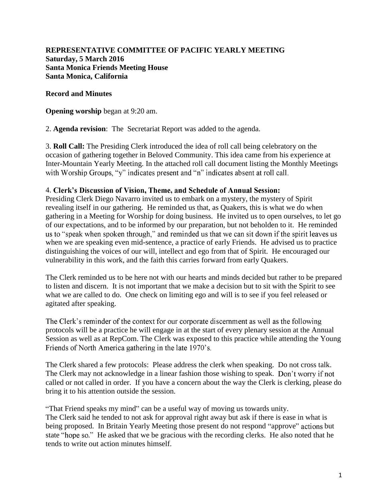**REPRESENTATIVE COMMITTEE OF PACIFIC YEARLY MEETING Saturday, 5 March 2016 Santa Monica Friends Meeting House Santa Monica, California**

**Record and Minutes**

**Opening worship** began at 9:20 am.

2. **Agenda revision**: The Secretariat Report was added to the agenda.

3. **Roll Call:** The Presiding Clerk introduced the idea of roll call being celebratory on the occasion of gathering together in Beloved Community. This idea came from his experience at Inter-Mountain Yearly Meeting. In the attached roll call document listing the Monthly Meetings with Worship Groups, "y" indicates present and "n" indicates absent at roll call.

#### 4. Clerk's Discussion of Vision, Theme, and Schedule of Annual Session:

Presiding Clerk Diego Navarro invited us to embark on a mystery, the mystery of Spirit revealing itself in our gathering. He reminded us that, as Quakers, this is what we do when gathering in a Meeting for Worship for doing business. He invited us to open ourselves, to let go of our expectations, and to be informed by our preparation, but not beholden to it. He reminded us to "speak when spoken through," and reminded us that we can sit down if the spirit leaves us when we are speaking even mid-sentence, a practice of early Friends. He advised us to practice distinguishing the voices of our will, intellect and ego from that of Spirit. He encouraged our vulnerability in this work, and the faith this carries forward from early Quakers.

The Clerk reminded us to be here not with our hearts and minds decided but rather to be prepared to listen and discern. It is not important that we make a decision but to sit with the Spirit to see what we are called to do. One check on limiting ego and will is to see if you feel released or agitated after speaking.

The Clerk's reminder of the context for our corporate discernment as well as the following protocols will be a practice he will engage in at the start of every plenary session at the Annual Session as well as at RepCom. The Clerk was exposed to this practice while attending the Young Friends of North America gathering in the late 1970's.

The Clerk shared a few protocols: Please address the clerk when speaking. Do not cross talk. The Clerk may not acknowledge in a linear fashion those wishing to speak. Don't worry if not called or not called in order. If you have a concern about the way the Clerk is clerking, please do bring it to his attention outside the session.

"That Friend speaks my mind" can be a useful way of moving us towards unity. The Clerk said he tended to not ask for approval right away but ask if there is ease in what is being proposed. In Britain Yearly Meeting those present do not respond "approve" actions but state "hope so." He asked that we be gracious with the recording clerks. He also noted that he tends to write out action minutes himself.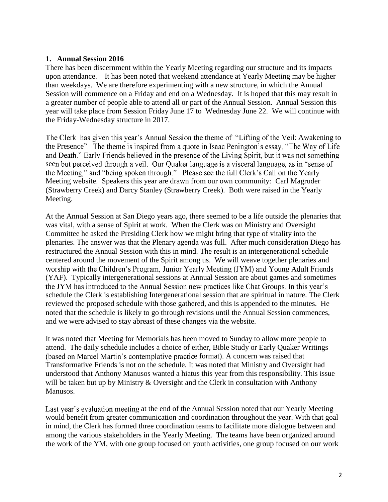#### **1. Annual Session 2016**

There has been discernment within the Yearly Meeting regarding our structure and its impacts upon attendance. It has been noted that weekend attendance at Yearly Meeting may be higher than weekdays. We are therefore experimenting with a new structure, in which the Annual Session will commence on a Friday and end on a Wednesday. It is hoped that this may result in a greater number of people able to attend all or part of the Annual Session. Annual Session this year will take place from Session Friday June 17 to Wednesday June 22. We will continue with the Friday-Wednesday structure in 2017.

The Clerk has given this year's Annual Session the theme of "Lifting of the Veil: Awakening to the Presence". The theme is inspired from a quote in Isaac Penington's essay, "The Way of Life" and Death." Early Friends believed in the presence of the Living Spirit, but it was not something seen but perceived through a veil. Our Quaker language is a visceral language, as in "sense of the Meeting," and "being spoken through." Please see the full Clerk's Call on the Yearly Meeting website. Speakers this year are drawn from our own community: Carl Magruder (Strawberry Creek) and Darcy Stanley (Strawberry Creek). Both were raised in the Yearly Meeting.

At the Annual Session at San Diego years ago, there seemed to be a life outside the plenaries that was vital, with a sense of Spirit at work. When the Clerk was on Ministry and Oversight Committee he asked the Presiding Clerk how we might bring that type of vitality into the plenaries. The answer was that the Plenary agenda was full. After much consideration Diego has restructured the Annual Session with this in mind. The result is an intergenerational schedule centered around the movement of the Spirit among us. We will weave together plenaries and worship with the Children's Program, Junior Yearly Meeting (JYM) and Young Adult Friends (YAF). Typically intergenerational sessions at Annual Session are about games and sometimes the JYM has introduced to the Annual Session new practices like Chat Groups. In this year's schedule the Clerk is establishing Intergenerational session that are spiritual in nature. The Clerk reviewed the proposed schedule with those gathered, and this is appended to the minutes. He noted that the schedule is likely to go through revisions until the Annual Session commences, and we were advised to stay abreast of these changes via the website.

It was noted that Meeting for Memorials has been moved to Sunday to allow more people to attend. The daily schedule includes a choice of either, Bible Study or Early Quaker Writings (based on Marcel Martin's contemplative practice format). A concern was raised that Transformative Friends is not on the schedule. It was noted that Ministry and Oversight had understood that Anthony Manusos wanted a hiatus this year from this responsibility. This issue will be taken but up by Ministry & Oversight and the Clerk in consultation with Anthony Manusos.

Last year's evaluation meeting at the end of the Annual Session noted that our Yearly Meeting would benefit from greater communication and coordination throughout the year. With that goal in mind, the Clerk has formed three coordination teams to facilitate more dialogue between and among the various stakeholders in the Yearly Meeting. The teams have been organized around the work of the YM, with one group focused on youth activities, one group focused on our work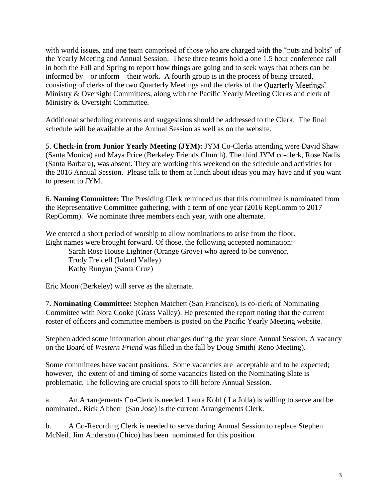with world issues, and one team comprised of those who are charged with the "nuts and bolts" of the Yearly Meeting and Annual Session. These three teams hold a one 1.5 hour conference call in both the Fall and Spring to report how things are going and to seek ways that others can be informed by  $-$  or inform  $-$  their work. A fourth group is in the process of being created, consisting of clerks of the two Quarterly Meetings and the clerks of the Quarterly Meetings' Ministry & Oversight Committees, along with the Pacific Yearly Meeting Clerks and clerk of Ministry & Oversight Committee.

Additional scheduling concerns and suggestions should be addressed to the Clerk. The final schedule will be available at the Annual Session as well as on the website.

5. **Check-in from Junior Yearly Meeting (JYM):** JYM Co-Clerks attending were David Shaw (Santa Monica) and Maya Price (Berkeley Friends Church). The third JYM co-clerk, Rose Nadis (Santa Barbara), was absent. They are working this weekend on the schedule and activities for the 2016 Annual Session. Please talk to them at lunch about ideas you may have and if you want to present to JYM.

6. **Naming Committee:** The Presiding Clerk reminded us that this committee is nominated from the Representative Committee gathering, with a term of one year (2016 RepComm to 2017 RepComm). We nominate three members each year, with one alternate.

We entered a short period of worship to allow nominations to arise from the floor. Eight names were brought forward. Of those, the following accepted nomination:

Sarah Rose House Lightner (Orange Grove) who agreed to be convenor. Trudy Freidell (Inland Valley) Kathy Runyan (Santa Cruz)

Eric Moon (Berkeley) will serve as the alternate.

7. **Nominating Committee:** Stephen Matchett (San Francisco), is co-clerk of Nominating Committee with Nora Cooke (Grass Valley). He presented the report noting that the current roster of officers and committee members is posted on the Pacific Yearly Meeting website.

Stephen added some information about changes during the year since Annual Session. A vacancy on the Board of *Western Friend* was filled in the fall by Doug Smith( Reno Meeting).

Some committees have vacant positions. Some vacancies are acceptable and to be expected; however, the extent of and timing of some vacancies listed on the Nominating Slate is problematic. The following are crucial spots to fill before Annual Session.

a. An Arrangements Co-Clerk is needed. Laura Kohl ( La Jolla) is willing to serve and be nominated.. Rick Altherr (San Jose) is the current Arrangements Clerk.

b. A Co-Recording Clerk is needed to serve during Annual Session to replace Stephen McNeil. Jim Anderson (Chico) has been nominated for this position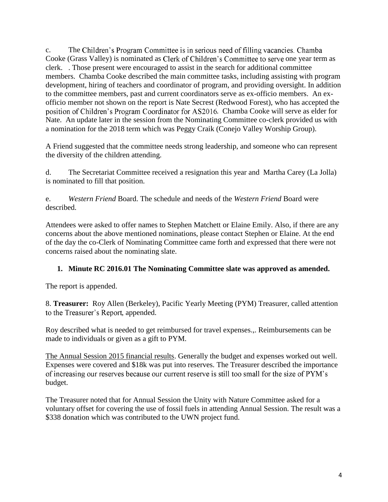C. The Children's Program Committee is in serious need of filling vacancies. Chamba Cooke (Grass Valley) is nominated as Clerk of Children's Committee to serve one year term as clerk. . Those present were encouraged to assist in the search for additional committee members. Chamba Cooke described the main committee tasks, including assisting with program development, hiring of teachers and coordinator of program, and providing oversight. In addition to the committee members, past and current coordinators serve as ex-officio members. An exofficio member not shown on the report is Nate Secrest (Redwood Forest), who has accepted the position of Children's Program Coordinator for AS2016. Chamba Cooke will serve as elder for Nate. An update later in the session from the Nominating Committee co-clerk provided us with a nomination for the 2018 term which was Peggy Craik (Conejo Valley Worship Group).

A Friend suggested that the committee needs strong leadership, and someone who can represent the diversity of the children attending.

d. The Secretariat Committee received a resignation this year and Martha Carey (La Jolla) is nominated to fill that position.

e. *Western Friend* Board. The schedule and needs of the *Western Friend* Board were described.

Attendees were asked to offer names to Stephen Matchett or Elaine Emily. Also, if there are any concerns about the above mentioned nominations, please contact Stephen or Elaine. At the end of the day the co-Clerk of Nominating Committee came forth and expressed that there were not concerns raised about the nominating slate.

**1. Minute RC 2016.01 The Nominating Committee slate was approved as amended.**

The report is appended.

8. **Treasurer:** Roy Allen (Berkeley), Pacific Yearly Meeting (PYM) Treasurer, called attention to the Treasurer's Report, appended.

Roy described what is needed to get reimbursed for travel expenses.,. Reimbursements can be made to individuals or given as a gift to PYM.

The Annual Session 2015 financial results. Generally the budget and expenses worked out well. Expenses were covered and \$18k was put into reserves. The Treasurer described the importance of increasing our reserves because our current reserve is still too small for the size of PYM's budget.

The Treasurer noted that for Annual Session the Unity with Nature Committee asked for a voluntary offset for covering the use of fossil fuels in attending Annual Session. The result was a \$338 donation which was contributed to the UWN project fund.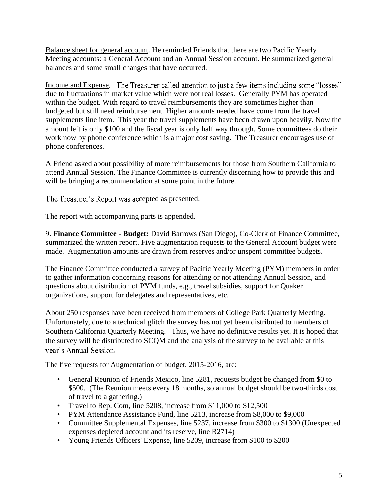Balance sheet for general account. He reminded Friends that there are two Pacific Yearly Meeting accounts: a General Account and an Annual Session account. He summarized general balances and some small changes that have occurred.

Income and Expense. The Treasurer called attention to just a few items including some "losses" due to fluctuations in market value which were not real losses. Generally PYM has operated within the budget. With regard to travel reimbursements they are sometimes higher than budgeted but still need reimbursement. Higher amounts needed have come from the travel supplements line item. This year the travel supplements have been drawn upon heavily. Now the amount left is only \$100 and the fiscal year is only half way through. Some committees do their work now by phone conference which is a major cost saving. The Treasurer encourages use of phone conferences.

A Friend asked about possibility of more reimbursements for those from Southern California to attend Annual Session. The Finance Committee is currently discerning how to provide this and will be bringing a recommendation at some point in the future.

### The Treasurer's Report was accepted as presented.

The report with accompanying parts is appended.

9. **Finance Committee - Budget:** David Barrows (San Diego), Co-Clerk of Finance Committee, summarized the written report. Five augmentation requests to the General Account budget were made. Augmentation amounts are drawn from reserves and/or unspent committee budgets.

The Finance Committee conducted a survey of Pacific Yearly Meeting (PYM) members in order to gather information concerning reasons for attending or not attending Annual Session, and questions about distribution of PYM funds, e.g., travel subsidies, support for Quaker organizations, support for delegates and representatives, etc.

About 250 responses have been received from members of College Park Quarterly Meeting. Unfortunately, due to a technical glitch the survey has not yet been distributed to members of Southern California Quarterly Meeting. Thus, we have no definitive results yet. It is hoped that the survey will be distributed to SCQM and the analysis of the survey to be available at this year's Annual Session.

The five requests for Augmentation of budget, 2015-2016, are:

- General Reunion of Friends Mexico, line 5281, requests budget be changed from \$0 to \$500. (The Reunion meets every 18 months, so annual budget should be two-thirds cost of travel to a gathering.)
- Travel to Rep. Com, line 5208, increase from \$11,000 to \$12,500
- PYM Attendance Assistance Fund, line 5213, increase from \$8,000 to \$9,000
- Committee Supplemental Expenses, line 5237, increase from \$300 to \$1300 (Unexpected expenses depleted account and its reserve, line R2714)
- Young Friends Officers' Expense, line 5209, increase from \$100 to \$200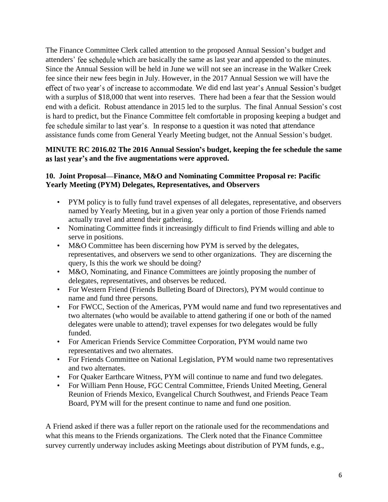The Finance Committee Clerk called attention to the proposed Annual Session's budget and attenders' fee schedule which are basically the same as last year and appended to the minutes. Since the Annual Session will be held in June we will not see an increase in the Walker Creek fee since their new fees begin in July. However, in the 2017 Annual Session we will have the effect of two year's of increase to accommodate. We did end last year's Annual Session's budget with a surplus of \$18,000 that went into reserves. There had been a fear that the Session would end with a deficit. Robust attendance in 2015 led to the surplus. The final Annual Session's cost is hard to predict, but the Finance Committee felt comfortable in proposing keeping a budget and fee schedule similar to last year's. In response to a question it was noted that attendance assistance funds come from General Yearly Meeting budget, not the Annual Session's budget.

**MINUTE RC 2016.02 The 2016 Annual Session s budget, keeping the fee schedule the same**  as last year's and the five augmentations were approved.

**10. Joint Proposal Finance, M&O and Nominating Committee Proposal re: Pacific Yearly Meeting (PYM) Delegates, Representatives, and Observers**

- PYM policy is to fully fund travel expenses of all delegates, representative, and observers named by Yearly Meeting, but in a given year only a portion of those Friends named actually travel and attend their gathering.
- Nominating Committee finds it increasingly difficult to find Friends willing and able to serve in positions.
- M&O Committee has been discerning how PYM is served by the delegates, representatives, and observers we send to other organizations. They are discerning the query, Is this the work we should be doing?
- M&O, Nominating, and Finance Committees are jointly proposing the number of delegates, representatives, and observes be reduced.
- For Western Friend (Friends Bulleting Board of Directors), PYM would continue to name and fund three persons.
- For FWCC, Section of the Americas, PYM would name and fund two representatives and two alternates (who would be available to attend gathering if one or both of the named delegates were unable to attend); travel expenses for two delegates would be fully funded.
- For American Friends Service Committee Corporation, PYM would name two representatives and two alternates.
- For Friends Committee on National Legislation, PYM would name two representatives and two alternates.
- For Quaker Earthcare Witness, PYM will continue to name and fund two delegates.
- For William Penn House, FGC Central Committee, Friends United Meeting, General Reunion of Friends Mexico, Evangelical Church Southwest, and Friends Peace Team Board, PYM will for the present continue to name and fund one position.

A Friend asked if there was a fuller report on the rationale used for the recommendations and what this means to the Friends organizations. The Clerk noted that the Finance Committee survey currently underway includes asking Meetings about distribution of PYM funds, e.g.,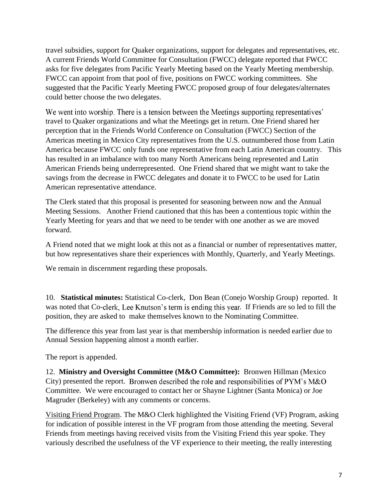travel subsidies, support for Quaker organizations, support for delegates and representatives, etc. A current Friends World Committee for Consultation (FWCC) delegate reported that FWCC asks for five delegates from Pacific Yearly Meeting based on the Yearly Meeting membership. FWCC can appoint from that pool of five, positions on FWCC working committees. She suggested that the Pacific Yearly Meeting FWCC proposed group of four delegates/alternates could better choose the two delegates.

We went into worship. There is a tension between the Meetings supporting representatives' travel to Quaker organizations and what the Meetings get in return. One Friend shared her perception that in the Friends World Conference on Consultation (FWCC) Section of the Americas meeting in Mexico City representatives from the U.S. outnumbered those from Latin America because FWCC only funds one representative from each Latin American country. This has resulted in an imbalance with too many North Americans being represented and Latin American Friends being underrepresented. One Friend shared that we might want to take the savings from the decrease in FWCC delegates and donate it to FWCC to be used for Latin American representative attendance.

The Clerk stated that this proposal is presented for seasoning between now and the Annual Meeting Sessions. Another Friend cautioned that this has been a contentious topic within the Yearly Meeting for years and that we need to be tender with one another as we are moved forward.

A Friend noted that we might look at this not as a financial or number of representatives matter, but how representatives share their experiences with Monthly, Quarterly, and Yearly Meetings.

We remain in discernment regarding these proposals.

10. **Statistical minutes:** Statistical Co-clerk, Don Bean (Conejo Worship Group) reported. It was noted that Co-clerk, Lee Knutson's term is ending this year. If Friends are so led to fill the position, they are asked to make themselves known to the Nominating Committee.

The difference this year from last year is that membership information is needed earlier due to Annual Session happening almost a month earlier.

The report is appended.

12. **Ministry and Oversight Committee (M&O Committee):** Bronwen Hillman (Mexico City) presented the report. Bronwen described the role and responsibilities of PYM's M&O Committee. We were encouraged to contact her or Shayne Lightner (Santa Monica) or Joe Magruder (Berkeley) with any comments or concerns.

Visiting Friend Program. The M&O Clerk highlighted the Visiting Friend (VF) Program, asking for indication of possible interest in the VF program from those attending the meeting. Several Friends from meetings having received visits from the Visiting Friend this year spoke. They variously described the usefulness of the VF experience to their meeting, the really interesting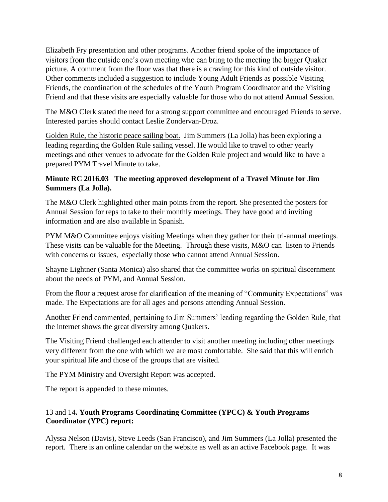Elizabeth Fry presentation and other programs. Another friend spoke of the importance of visitors from the outside one's own meeting who can bring to the meeting the bigger Quaker picture. A comment from the floor was that there is a craving for this kind of outside visitor. Other comments included a suggestion to include Young Adult Friends as possible Visiting Friends, the coordination of the schedules of the Youth Program Coordinator and the Visiting Friend and that these visits are especially valuable for those who do not attend Annual Session.

The M&O Clerk stated the need for a strong support committee and encouraged Friends to serve. Interested parties should contact Leslie Zondervan-Droz.

Golden Rule, the historic peace sailing boat. Jim Summers (La Jolla) has been exploring a leading regarding the Golden Rule sailing vessel. He would like to travel to other yearly meetings and other venues to advocate for the Golden Rule project and would like to have a prepared PYM Travel Minute to take.

**Minute RC 2016.03 The meeting approved development of a Travel Minute for Jim Summers (La Jolla).**

The M&O Clerk highlighted other main points from the report. She presented the posters for Annual Session for reps to take to their monthly meetings. They have good and inviting information and are also available in Spanish.

PYM M&O Committee enjoys visiting Meetings when they gather for their tri-annual meetings. These visits can be valuable for the Meeting. Through these visits, M&O can listen to Friends with concerns or issues, especially those who cannot attend Annual Session.

Shayne Lightner (Santa Monica) also shared that the committee works on spiritual discernment about the needs of PYM, and Annual Session.

From the floor a request arose for clarification of the meaning of "Community Expectations" was made. The Expectations are for all ages and persons attending Annual Session.

Another Friend commented, pertaining to Jim Summers' leading regarding the Golden Rule, that the internet shows the great diversity among Quakers.

The Visiting Friend challenged each attender to visit another meeting including other meetings very different from the one with which we are most comfortable. She said that this will enrich your spiritual life and those of the groups that are visited.

The PYM Ministry and Oversight Report was accepted.

The report is appended to these minutes.

13 and 14**. Youth Programs Coordinating Committee (YPCC) & Youth Programs Coordinator (YPC) report:**

Alyssa Nelson (Davis), Steve Leeds (San Francisco), and Jim Summers (La Jolla) presented the report. There is an online calendar on the website as well as an active Facebook page. It was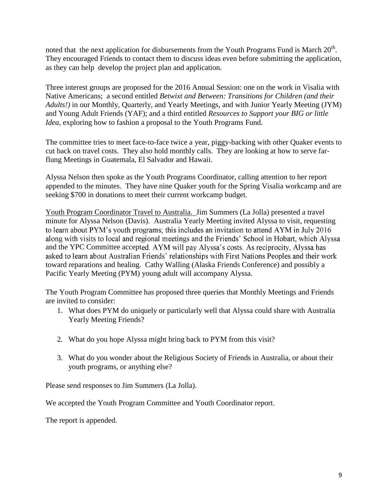noted that the next application for disbursements from the Youth Programs Fund is March 20<sup>th</sup>. They encouraged Friends to contact them to discuss ideas even before submitting the application, as they can help develop the project plan and application.

Three interest groups are proposed for the 2016 Annual Session: one on the work in Visalia with Native Americans; a second entitled *Betwixt and Between: Transitions for Children (and their Adults!)* in our Monthly, Quarterly, and Yearly Meetings, and with Junior Yearly Meeting (JYM) and Young Adult Friends (YAF); and a third entitled *Resources to Support your BIG or little Idea*, exploring how to fashion a proposal to the Youth Programs Fund.

The committee tries to meet face-to-face twice a year, piggy-backing with other Quaker events to cut back on travel costs. They also hold monthly calls. They are looking at how to serve farflung Meetings in Guatemala, El Salvador and Hawaii.

Alyssa Nelson then spoke as the Youth Programs Coordinator, calling attention to her report appended to the minutes. They have nine Quaker youth for the Spring Visalia workcamp and are seeking \$700 in donations to meet their current workcamp budget.

Youth Program Coordinator Travel to Australia. Jim Summers (La Jolla) presented a travel minute for Alyssa Nelson (Davis). Australia Yearly Meeting invited Alyssa to visit, requesting to learn about PYM's youth programs; this includes an invitation to attend AYM in July 2016 along with visits to local and regional meetings and the Friends' School in Hobart, which Alyssa and the YPC Committee accepted. AYM will pay Alyssa's costs. As reciprocity, Alyssa has asked to learn about Australian Friends' relationships with First Nations Peoples and their work toward reparations and healing. Cathy Walling (Alaska Friends Conference) and possibly a Pacific Yearly Meeting (PYM) young adult will accompany Alyssa.

The Youth Program Committee has proposed three queries that Monthly Meetings and Friends are invited to consider:

- 1. What does PYM do uniquely or particularly well that Alyssa could share with Australia Yearly Meeting Friends?
- 2. What do you hope Alyssa might bring back to PYM from this visit?
- 3. What do you wonder about the Religious Society of Friends in Australia, or about their youth programs, or anything else?

Please send responses to Jim Summers (La Jolla).

We accepted the Youth Program Committee and Youth Coordinator report.

The report is appended.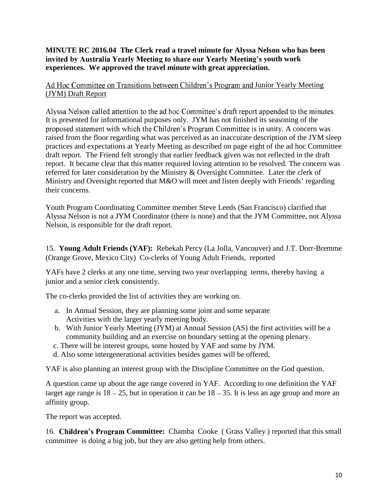**MINUTE RC 2016.04 The Clerk read a travel minute for Alyssa Nelson who has been invited by Australia Yearly Meeting to share our Yearly Meeting's youth work experiences. We approved the travel minute with great appreciation.**

Ad Hoc Committee on Transitions between Children's Program and Junior Yearly Meeting (JYM) Draft Report

Alyssa Nelson called attention to the ad hoc Committee's draft report appended to the minutes. It is presented for informational purposes only. JYM has not finished its seasoning of the proposed statement with which the Children's Program Committee is in unity. A concern was raised from the floor regarding what was perceived as an inaccurate description of the JYM sleep practices and expectations at Yearly Meeting as described on page eight of the ad hoc Committee draft report. The Friend felt strongly that earlier feedback given was not reflected in the draft report. It became clear that this matter required loving attention to be resolved. The concern was referred for later consideration by the Ministry & Oversight Committee. Later the clerk of Ministry and Oversight reported that M&O will meet and listen deeply with Friends' regarding their concerns.

Youth Program Coordinating Committee member Steve Leeds (San Francisco) clarified that Alyssa Nelson is not a JYM Coordinator (there is none) and that the JYM Committee, not Alyssa Nelson, is responsible for the draft report.

15. **Young Adult Friends (YAF):** Rebekah Percy (La Jolla, Vancouver) and J.T. Dorr-Bremme (Orange Grove, Mexico City) Co-clerks of Young Adult Friends, reported

YAFs have 2 clerks at any one time, serving two year overlapping terms, thereby having a junior and a senior clerk consistently.

The co-clerks provided the list of activities they are working on.

- a. In Annual Session, they are planning some joint and some separate Activities with the larger yearly meeting body.
- b. With Junior Yearly Meeting (JYM) at Annual Session (AS) the first activities will be a community building and an exercise on boundary setting at the opening plenary.
- c. There will be interest groups, some hosted by YAF and some by JYM.
- d. Also some intergenerational activities besides games will be offered,

YAF is also planning an interest group with the Discipline Committee on the God question.

A question came up about the age range covered in YAF. According to one definition the YAF target age range is  $18 - 25$ , but in operation it can be  $18 - 35$ . It is less an age group and more an affinity group.

The report was accepted.

16. **Children's Program** Committee: Chamba Cooke (Grass Valley) reported that this small committee is doing a big job, but they are also getting help from others.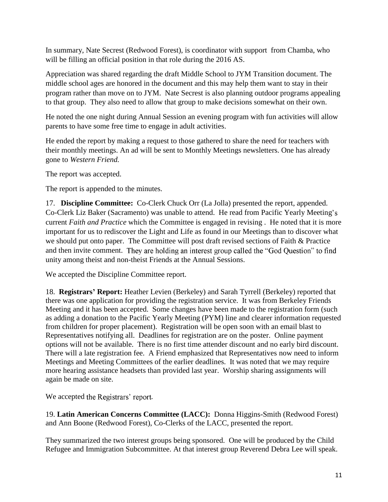In summary, Nate Secrest (Redwood Forest), is coordinator with support from Chamba, who will be filling an official position in that role during the 2016 AS.

Appreciation was shared regarding the draft Middle School to JYM Transition document. The middle school ages are honored in the document and this may help them want to stay in their program rather than move on to JYM. Nate Secrest is also planning outdoor programs appealing to that group. They also need to allow that group to make decisions somewhat on their own.

He noted the one night during Annual Session an evening program with fun activities will allow parents to have some free time to engage in adult activities.

He ended the report by making a request to those gathered to share the need for teachers with their monthly meetings. An ad will be sent to Monthly Meetings newsletters. One has already gone to *Western Friend.*

The report was accepted.

The report is appended to the minutes.

17. **Discipline Committee:** Co-Clerk Chuck Orr (La Jolla) presented the report, appended. Co-Clerk Liz Baker (Sacramento) was unable to attend. He read from Pacific Yearly Meeting's current *Faith and Practice* which the Committee is engaged in revising . He noted that it is more important for us to rediscover the Light and Life as found in our Meetings than to discover what we should put onto paper. The Committee will post draft revised sections of Faith & Practice and then invite comment. They are holding an interest group called the "God Question" to find unity among theist and non-theist Friends at the Annual Sessions.

We accepted the Discipline Committee report.

18. **Registrars Report:** Heather Levien (Berkeley) and Sarah Tyrrell (Berkeley) reported that there was one application for providing the registration service. It was from Berkeley Friends Meeting and it has been accepted. Some changes have been made to the registration form (such as adding a donation to the Pacific Yearly Meeting (PYM) line and clearer information requested from children for proper placement). Registration will be open soon with an email blast to Representatives notifying all. Deadlines for registration are on the poster. Online payment options will not be available. There is no first time attender discount and no early bird discount. There will a late registration fee. A Friend emphasized that Representatives now need to inform Meetings and Meeting Committees of the earlier deadlines. It was noted that we may require more hearing assistance headsets than provided last year. Worship sharing assignments will again be made on site.

### We accepted the Registrars' report.

19. **Latin American Concerns Committee (LACC):** Donna Higgins-Smith (Redwood Forest) and Ann Boone (Redwood Forest), Co-Clerks of the LACC, presented the report.

They summarized the two interest groups being sponsored. One will be produced by the Child Refugee and Immigration Subcommittee. At that interest group Reverend Debra Lee will speak.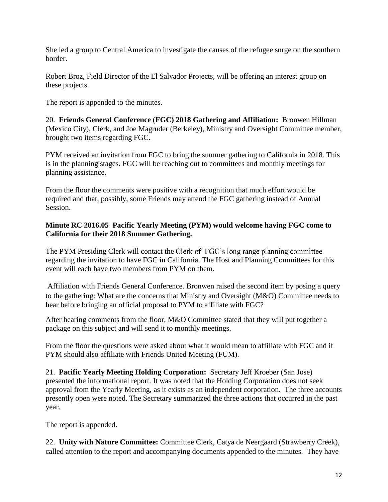She led a group to Central America to investigate the causes of the refugee surge on the southern border.

Robert Broz, Field Director of the El Salvador Projects, will be offering an interest group on these projects.

The report is appended to the minutes.

20. **Friends General Conference** (**FGC) 2018 Gathering and Affiliation:** Bronwen Hillman (Mexico City), Clerk, and Joe Magruder (Berkeley), Ministry and Oversight Committee member, brought two items regarding FGC.

PYM received an invitation from FGC to bring the summer gathering to California in 2018. This is in the planning stages. FGC will be reaching out to committees and monthly meetings for planning assistance.

From the floor the comments were positive with a recognition that much effort would be required and that, possibly, some Friends may attend the FGC gathering instead of Annual Session.

**Minute RC 2016.05 Pacific Yearly Meeting (PYM) would welcome having FGC come to California for their 2018 Summer Gathering.**

The PYM Presiding Clerk will contact the Clerk of FGC's long range planning committee regarding the invitation to have FGC in California. The Host and Planning Committees for this event will each have two members from PYM on them.

Affiliation with Friends General Conference. Bronwen raised the second item by posing a query to the gathering: What are the concerns that Ministry and Oversight (M&O) Committee needs to hear before bringing an official proposal to PYM to affiliate with FGC?

After hearing comments from the floor, M&O Committee stated that they will put together a package on this subject and will send it to monthly meetings.

From the floor the questions were asked about what it would mean to affiliate with FGC and if PYM should also affiliate with Friends United Meeting (FUM).

21. **Pacific Yearly Meeting Holding Corporation:** Secretary Jeff Kroeber (San Jose) presented the informational report. It was noted that the Holding Corporation does not seek approval from the Yearly Meeting, as it exists as an independent corporation. The three accounts presently open were noted. The Secretary summarized the three actions that occurred in the past year.

The report is appended.

22. **Unity with Nature Committee:** Committee Clerk, Catya de Neergaard (Strawberry Creek), called attention to the report and accompanying documents appended to the minutes. They have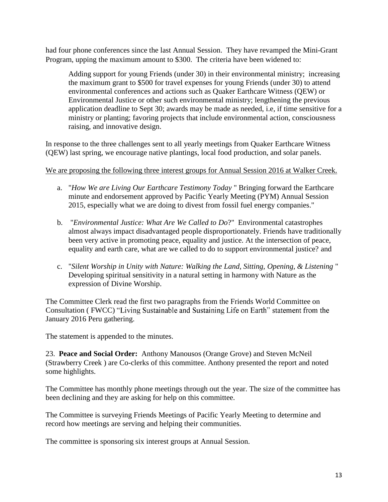had four phone conferences since the last Annual Session. They have revamped the Mini-Grant Program, upping the maximum amount to \$300. The criteria have been widened to:

Adding support for young Friends (under 30) in their environmental ministry; increasing the maximum grant to \$500 for travel expenses for young Friends (under 30) to attend environmental conferences and actions such as Quaker Earthcare Witness (QEW) or Environmental Justice or other such environmental ministry; lengthening the previous application deadline to Sept 30; awards may be made as needed, i.e, if time sensitive for a ministry or planting; favoring projects that include environmental action, consciousness raising, and innovative design.

In response to the three challenges sent to all yearly meetings from Quaker Earthcare Witness (QEW) last spring, we encourage native plantings, local food production, and solar panels.

### We are proposing the following three interest groups for Annual Session 2016 at Walker Creek.

- a. "*How We are Living Our Earthcare Testimony Today* " Bringing forward the Earthcare minute and endorsement approved by Pacific Yearly Meeting (PYM) Annual Session 2015, especially what we are doing to divest from fossil fuel energy companies."
- b. "*Environmental Justice: What Are We Called to Do*?" Environmental catastrophes almost always impact disadvantaged people disproportionately. Friends have traditionally been very active in promoting peace, equality and justice. At the intersection of peace, equality and earth care, what are we called to do to support environmental justice? and
- c. "*Silent Worship in Unity with Nature: Walking the Land, Sitting, Opening, & Listening* " Developing spiritual sensitivity in a natural setting in harmony with Nature as the expression of Divine Worship.

The Committee Clerk read the first two paragraphs from the Friends World Committee on Consultation (FWCC) "Living Sustainable and Sustaining Life on Earth" statement from the January 2016 Peru gathering.

The statement is appended to the minutes.

23. **Peace and Social Order:** Anthony Manousos (Orange Grove) and Steven McNeil (Strawberry Creek ) are Co-clerks of this committee. Anthony presented the report and noted some highlights.

The Committee has monthly phone meetings through out the year. The size of the committee has been declining and they are asking for help on this committee.

The Committee is surveying Friends Meetings of Pacific Yearly Meeting to determine and record how meetings are serving and helping their communities.

The committee is sponsoring six interest groups at Annual Session.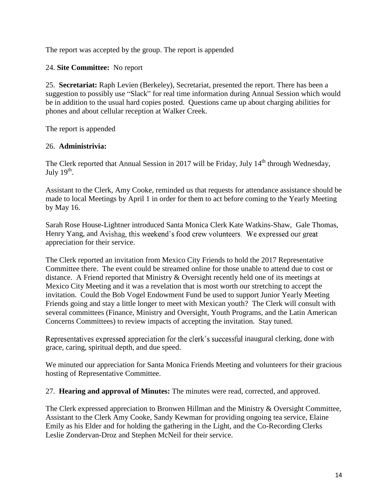The report was accepted by the group. The report is appended

24. **Site Committee:** No report

25. **Secretariat:** Raph Levien (Berkeley), Secretariat, presented the report. There has been a suggestion to possibly use "Slack" for real time information during Annual Session which would be in addition to the usual hard copies posted. Questions came up about charging abilities for phones and about cellular reception at Walker Creek.

The report is appended

### 26. **Administrivia:**

The Clerk reported that Annual Session in 2017 will be Friday, July 14<sup>th</sup> through Wednesday, July 19<sup>th</sup>.

Assistant to the Clerk, Amy Cooke, reminded us that requests for attendance assistance should be made to local Meetings by April 1 in order for them to act before coming to the Yearly Meeting by May 16.

Sarah Rose House-Lightner introduced Santa Monica Clerk Kate Watkins-Shaw, Gale Thomas, Henry Yang, and Avishag, this weekend's food crew volunteers. We expressed our great appreciation for their service.

The Clerk reported an invitation from Mexico City Friends to hold the 2017 Representative Committee there. The event could be streamed online for those unable to attend due to cost or distance. A Friend reported that Ministry & Oversight recently held one of its meetings at Mexico City Meeting and it was a revelation that is most worth our stretching to accept the invitation. Could the Bob Vogel Endowment Fund be used to support Junior Yearly Meeting Friends going and stay a little longer to meet with Mexican youth? The Clerk will consult with several committees (Finance, Ministry and Oversight, Youth Programs, and the Latin American Concerns Committees) to review impacts of accepting the invitation. Stay tuned.

**Representatives expressed appreciation for the clerk's successful inaugural clerking, done with** grace, caring, spiritual depth, and due speed.

We minuted our appreciation for Santa Monica Friends Meeting and volunteers for their gracious hosting of Representative Committee.

27. **Hearing and approval of Minutes:** The minutes were read, corrected, and approved.

The Clerk expressed appreciation to Bronwen Hillman and the Ministry & Oversight Committee, Assistant to the Clerk Amy Cooke, Sandy Kewman for providing ongoing tea service, Elaine Emily as his Elder and for holding the gathering in the Light, and the Co-Recording Clerks Leslie Zondervan-Droz and Stephen McNeil for their service.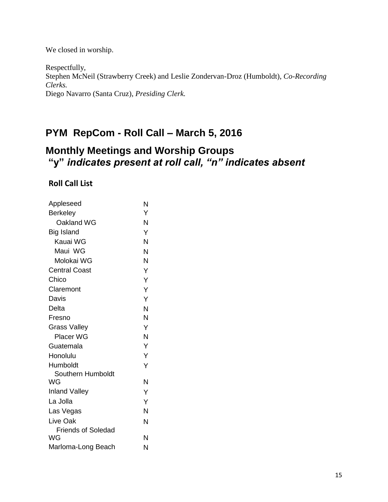We closed in worship.

Respectfully, Stephen McNeil (Strawberry Creek) and Leslie Zondervan-Droz (Humboldt), *Co-Recording Clerks.* Diego Navarro (Santa Cruz), *Presiding Clerk.*

## **PYM RepCom - Roll Call – March 5, 2016**

# **Monthly Meetings and Worship Groups "y"** *indicates present at roll call, "n" indicates absent*

**Roll Call List**

| Appleseed                 | N |
|---------------------------|---|
| Berkeley                  | Y |
| Oakland WG                | N |
| Big Island                | Ý |
| Kauai WG                  | N |
| Maui WG                   | Ń |
| Molokai WG                | Ń |
| <b>Central Coast</b>      | Y |
| Chico                     | Y |
| Claremont                 | Ý |
| Davis                     | Ý |
| Delta                     | N |
| Fresno                    | N |
| <b>Grass Valley</b>       | Y |
| <b>Placer WG</b>          | N |
| Guatemala                 | Y |
| Honolulu                  | Y |
| Humboldt                  | Y |
| Southern Humboldt         |   |
| WG                        | N |
| <b>Inland Valley</b>      | Y |
| La Jolla                  | Ý |
| Las Vegas                 | N |
| Live Oak                  | N |
| <b>Friends of Soledad</b> |   |
| WG                        | N |
| Marloma-Long Beach        | N |